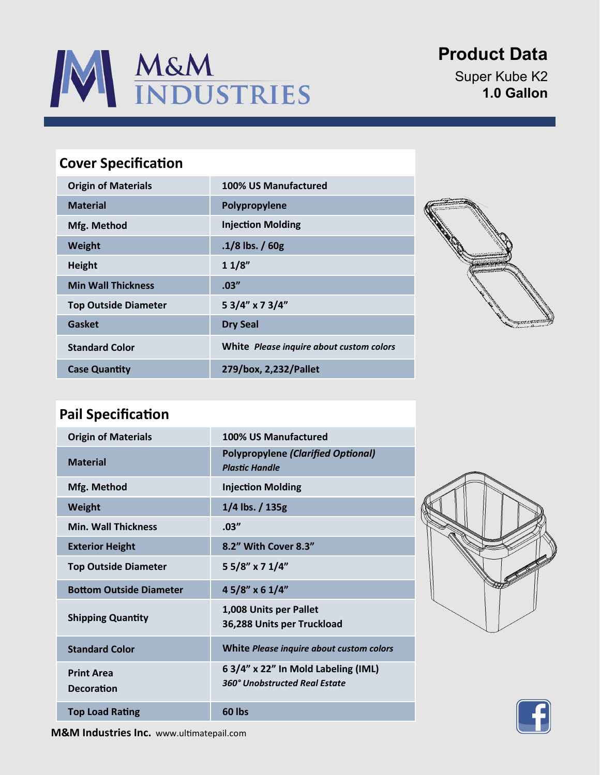

# **Product Data**

Super Kube K2 **1.0 Gallon**

## **Cover Specification**

| <b>Origin of Materials</b>  | 100% US Manufactured                     |
|-----------------------------|------------------------------------------|
| <b>Material</b>             | Polypropylene                            |
| Mfg. Method                 | <b>Injection Molding</b>                 |
| Weight                      | $.1/8$ lbs. $/60g$                       |
| <b>Height</b>               | 11/8"                                    |
| <b>Min Wall Thickness</b>   | .03''                                    |
| <b>Top Outside Diameter</b> | 5 3/4" x 7 3/4"                          |
| Gasket                      | <b>Dry Seal</b>                          |
| <b>Standard Color</b>       | White Please inquire about custom colors |
| <b>Case Quantity</b>        | 279/box, 2,232/Pallet                    |



## **Pail Specification**

| <b>Origin of Materials</b>             | 100% US Manufactured                                                 |
|----------------------------------------|----------------------------------------------------------------------|
| <b>Material</b>                        | <b>Polypropylene (Clarified Optional)</b><br><b>Plastic Handle</b>   |
| Mfg. Method                            | <b>Injection Molding</b>                                             |
| Weight                                 | $1/4$ lbs. $/ 135g$                                                  |
| <b>Min. Wall Thickness</b>             | .03''                                                                |
| <b>Exterior Height</b>                 | 8.2" With Cover 8.3"                                                 |
| <b>Top Outside Diameter</b>            | 5 5/8" x 7 1/4"                                                      |
| <b>Bottom Outside Diameter</b>         | 45/8" x 6 1/4"                                                       |
| <b>Shipping Quantity</b>               | 1,008 Units per Pallet<br>36,288 Units per Truckload                 |
| <b>Standard Color</b>                  | White Please inquire about custom colors                             |
| <b>Print Area</b><br><b>Decoration</b> | 6 3/4" x 22" In Mold Labeling (IML)<br>360° Unobstructed Real Estate |
| <b>Top Load Rating</b>                 | 60 lbs                                                               |





**M&M Industries Inc.** www.ultimatepail.com